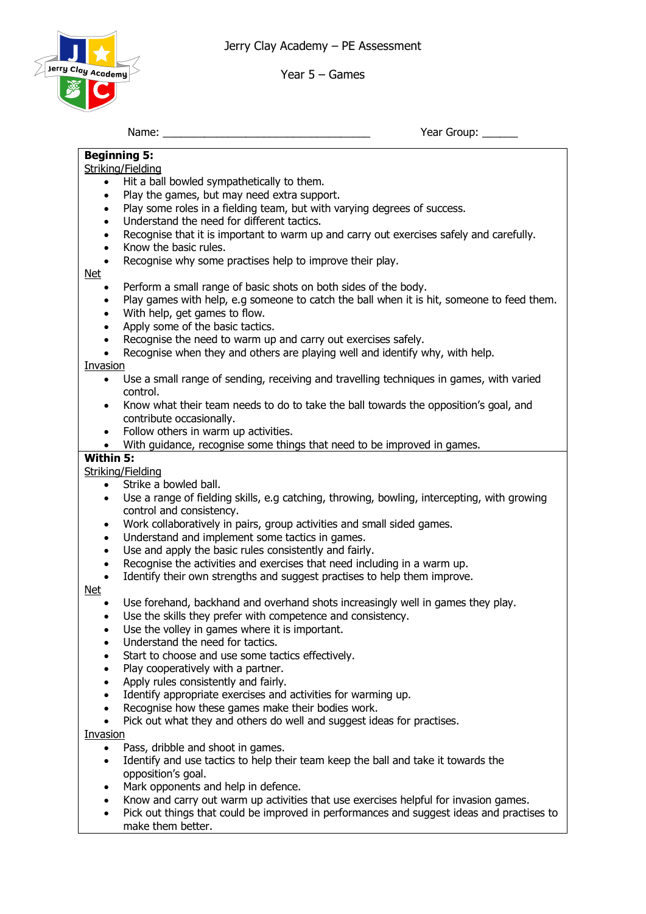Jerry Clay Academy – PE Assessment



Year 5 – Games

Name: \_\_\_\_\_\_\_\_\_\_\_\_\_\_\_\_\_\_\_\_\_\_\_\_\_\_\_\_\_\_\_\_\_\_\_ Year Group: \_\_\_\_\_\_

### **Beginning 5:** Striking/Fielding • Hit a ball bowled sympathetically to them. • Play the games, but may need extra support. Play some roles in a fielding team, but with varying degrees of success. • Understand the need for different tactics. • Recognise that it is important to warm up and carry out exercises safely and carefully. • Know the basic rules. Recognise why some practises help to improve their play. Net • Perform a small range of basic shots on both sides of the body. • Play games with help, e.g someone to catch the ball when it is hit, someone to feed them. • With help, get games to flow. Apply some of the basic tactics. • Recognise the need to warm up and carry out exercises safely. Recognise when they and others are playing well and identify why, with help. Invasion • Use a small range of sending, receiving and travelling techniques in games, with varied control. • Know what their team needs to do to take the ball towards the opposition's goal, and contribute occasionally. • Follow others in warm up activities. • With quidance, recognise some things that need to be improved in games. **Within 5:** Striking/Fielding • Strike a bowled ball. • Use a range of fielding skills, e.g catching, throwing, bowling, intercepting, with growing control and consistency. • Work collaboratively in pairs, group activities and small sided games. • Understand and implement some tactics in games. Use and apply the basic rules consistently and fairly. • Recognise the activities and exercises that need including in a warm up. Identify their own strengths and suggest practises to help them improve. Net • Use forehand, backhand and overhand shots increasingly well in games they play. Use the skills they prefer with competence and consistency. Use the volley in games where it is important. Understand the need for tactics. Start to choose and use some tactics effectively. Play cooperatively with a partner. Apply rules consistently and fairly. Identify appropriate exercises and activities for warming up. Recognise how these games make their bodies work.

• Pick out what they and others do well and suggest ideas for practises.

Invasion

- Pass, dribble and shoot in games.
- Identify and use tactics to help their team keep the ball and take it towards the opposition's goal.
- Mark opponents and help in defence.
- Know and carry out warm up activities that use exercises helpful for invasion games.
- Pick out things that could be improved in performances and suggest ideas and practises to make them better.